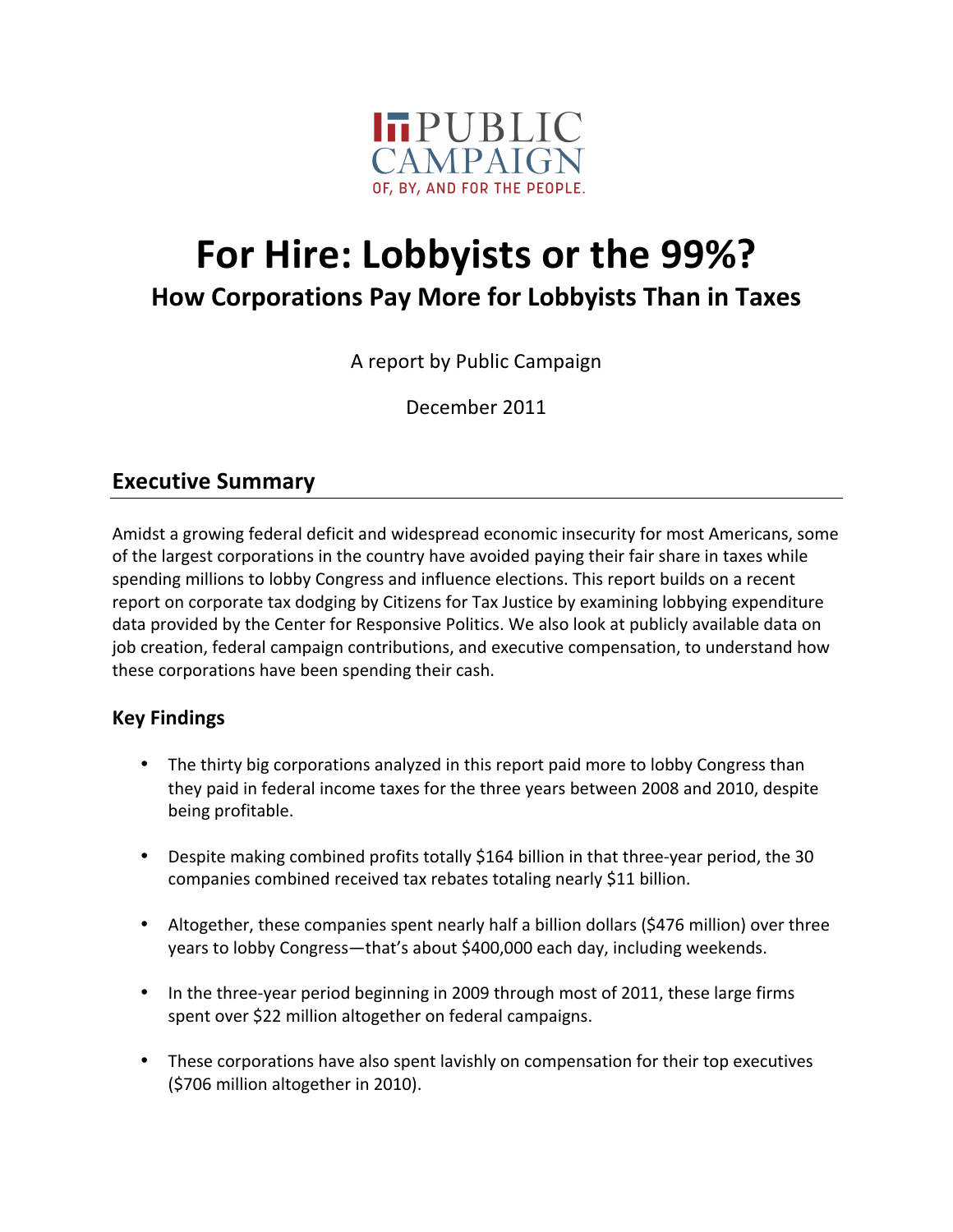

# **For Hire: Lobbyists or the 99%?**

**How!Corporations!Pay!More!for!Lobbyists!Than!in!Taxes**

A report by Public Campaign

December 2011

#### **Executive Summary**

Amidst a growing federal deficit and widespread economic insecurity for most Americans, some of the largest corporations in the country have avoided paying their fair share in taxes while spending millions to lobby Congress and influence elections. This report builds on a recent report on corporate tax dodging by Citizens for Tax Justice by examining lobbying expenditure data provided by the Center for Responsive Politics. We also look at publicly available data on job creation, federal campaign contributions, and executive compensation, to understand how these corporations have been spending their cash.

#### **Key!Findings**

- The thirty big corporations analyzed in this report paid more to lobby Congress than they paid in federal income taxes for the three years between 2008 and 2010, despite being profitable.
- Despite making combined profits totally \$164 billion in that three-year period, the 30 companies combined received tax rebates totaling nearly \$11 billion.
- Altogether, these companies spent nearly half a billion dollars (\$476 million) over three years to lobby Congress—that's about \$400,000 each day, including weekends.
- In the three-year period beginning in 2009 through most of 2011, these large firms spent over \$22 million altogether on federal campaigns.
- These corporations have also spent lavishly on compensation for their top executives  $(5706$  million altogether in 2010).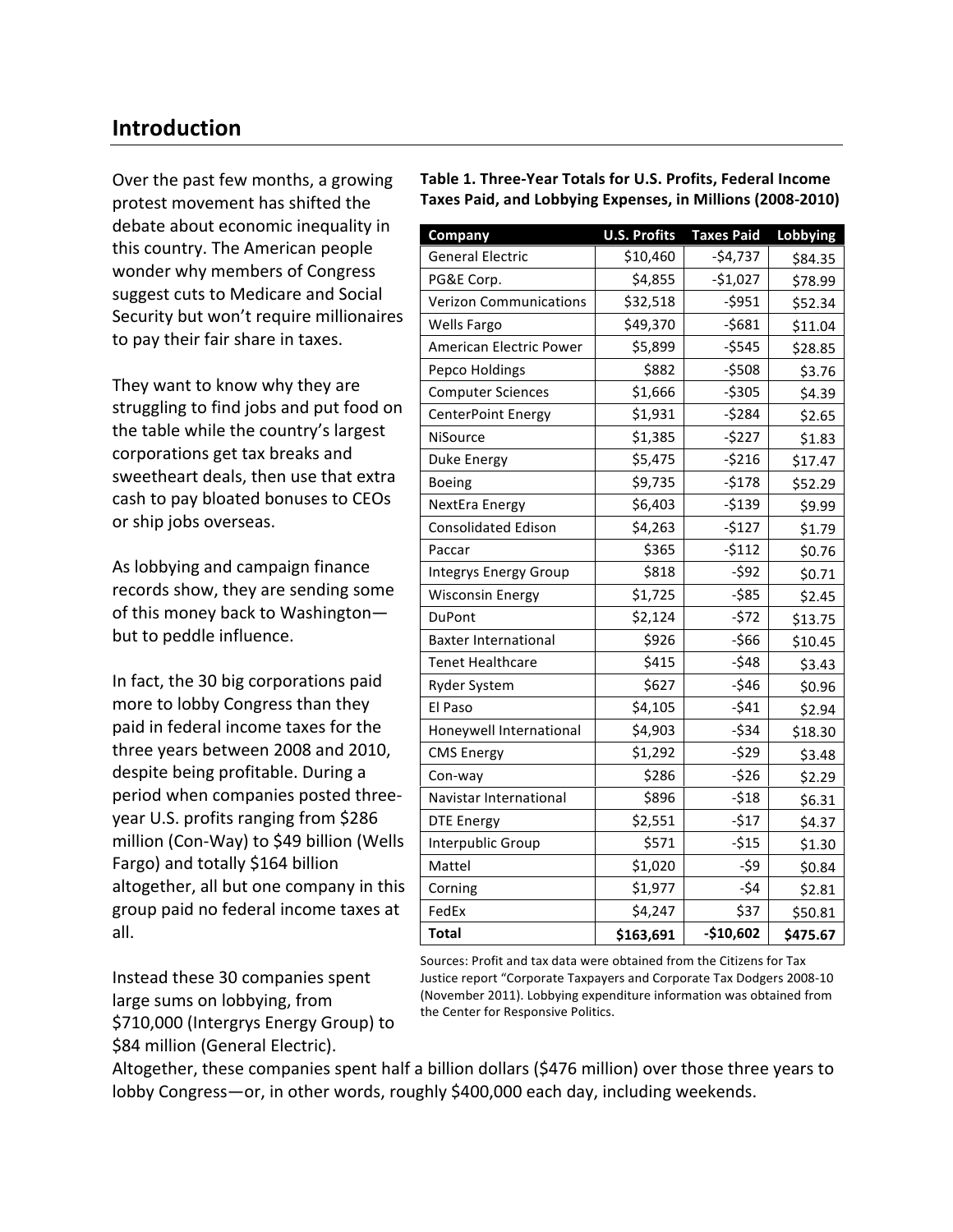#### **Introduction**

Over the past few months, a growing protest movement has shifted the debate about economic inequality in this country. The American people wonder why members of Congress suggest cuts to Medicare and Social Security but won't require millionaires to pay their fair share in taxes.

They want to know why they are struggling to find jobs and put food on the table while the country's largest corporations get tax breaks and sweetheart deals, then use that extra cash to pay bloated bonuses to CEOs or ship jobs overseas.

As lobbying and campaign finance records show, they are sending some of this money back to Washington but to peddle influence.

In fact, the 30 big corporations paid more to lobby Congress than they paid in federal income taxes for the three years between 2008 and 2010, despite being profitable. During a period when companies posted threeyear U.S. profits ranging from \$286 million (Con-Way) to \$49 billion (Wells Fargo) and totally \$164 billion altogether, all but one company in this group paid no federal income taxes at all.

Instead these 30 companies spent large sums on lobbying, from \$710,000 (Intergrys Energy Group) to \$84 million (General Electric).

| Table 1. Three-Year Totals for U.S. Profits, Federal Income |
|-------------------------------------------------------------|
| Taxes Paid, and Lobbying Expenses, in Millions (2008-2010)  |

| Company                       | <b>U.S. Profits</b> | <b>Taxes Paid</b> | Lobbying |
|-------------------------------|---------------------|-------------------|----------|
| <b>General Electric</b>       | \$10,460            | $-$4,737$         | \$84.35  |
| PG&E Corp.                    | \$4,855             | $-$1,027$         | \$78.99  |
| <b>Verizon Communications</b> | \$32,518            | $-5951$           | \$52.34  |
| Wells Fargo                   | \$49,370            | $-5681$           | \$11.04  |
| American Electric Power       | \$5,899             | $-5545$           | \$28.85  |
| Pepco Holdings                | \$882               | $-5508$           | \$3.76   |
| <b>Computer Sciences</b>      | \$1,666             | $-5305$           | \$4.39   |
| CenterPoint Energy            | \$1,931             | $-5284$           | \$2.65   |
| NiSource                      | \$1,385             | $-5227$           | \$1.83   |
| Duke Energy                   | \$5,475             | $-5216$           | \$17.47  |
| Boeing                        | \$9,735             | $-$178$           | \$52.29  |
| NextEra Energy                | \$6,403             | $-5139$           | \$9.99   |
| <b>Consolidated Edison</b>    | \$4,263             | $-5127$           | \$1.79   |
| Paccar                        | \$365               | $-5112$           | \$0.76   |
| Integrys Energy Group         | \$818               | $-592$            | \$0.71   |
| <b>Wisconsin Energy</b>       | \$1,725             | $-585$            | \$2.45   |
| DuPont                        | \$2,124             | $-572$            | \$13.75  |
| <b>Baxter International</b>   | \$926               | $-566$            | \$10.45  |
| <b>Tenet Healthcare</b>       | \$415               | $-548$            | \$3.43   |
| <b>Ryder System</b>           | \$627               | $-546$            | \$0.96   |
| El Paso                       | \$4,105             | $-541$            | \$2.94   |
| Honeywell International       | \$4,903             | $-534$            | \$18.30  |
| <b>CMS Energy</b>             | \$1,292             | $-529$            | \$3.48   |
| Con-way                       | \$286               | $-526$            | \$2.29   |
| Navistar International        | \$896               | $-518$            | \$6.31   |
| <b>DTE Energy</b>             | \$2,551             | $-517$            | \$4.37   |
| Interpublic Group             | \$571               | $-515$            | \$1.30   |
| Mattel                        | \$1,020             | $-59$             | \$0.84   |
| Corning                       | \$1,977             | $-54$             | \$2.81   |
| FedEx                         | \$4,247             | \$37              | \$50.81  |
| <b>Total</b>                  | \$163,691           | $-$10,602$        | \$475.67 |

Sources: Profit and tax data were obtained from the Citizens for Tax Justice report "Corporate Taxpayers and Corporate Tax Dodgers 2008-10" (November 2011). Lobbying expenditure information was obtained from the Center for Responsive Politics.

Altogether, these companies spent half a billion dollars (\$476 million) over those three years to lobby Congress—or, in other words, roughly \$400,000 each day, including weekends.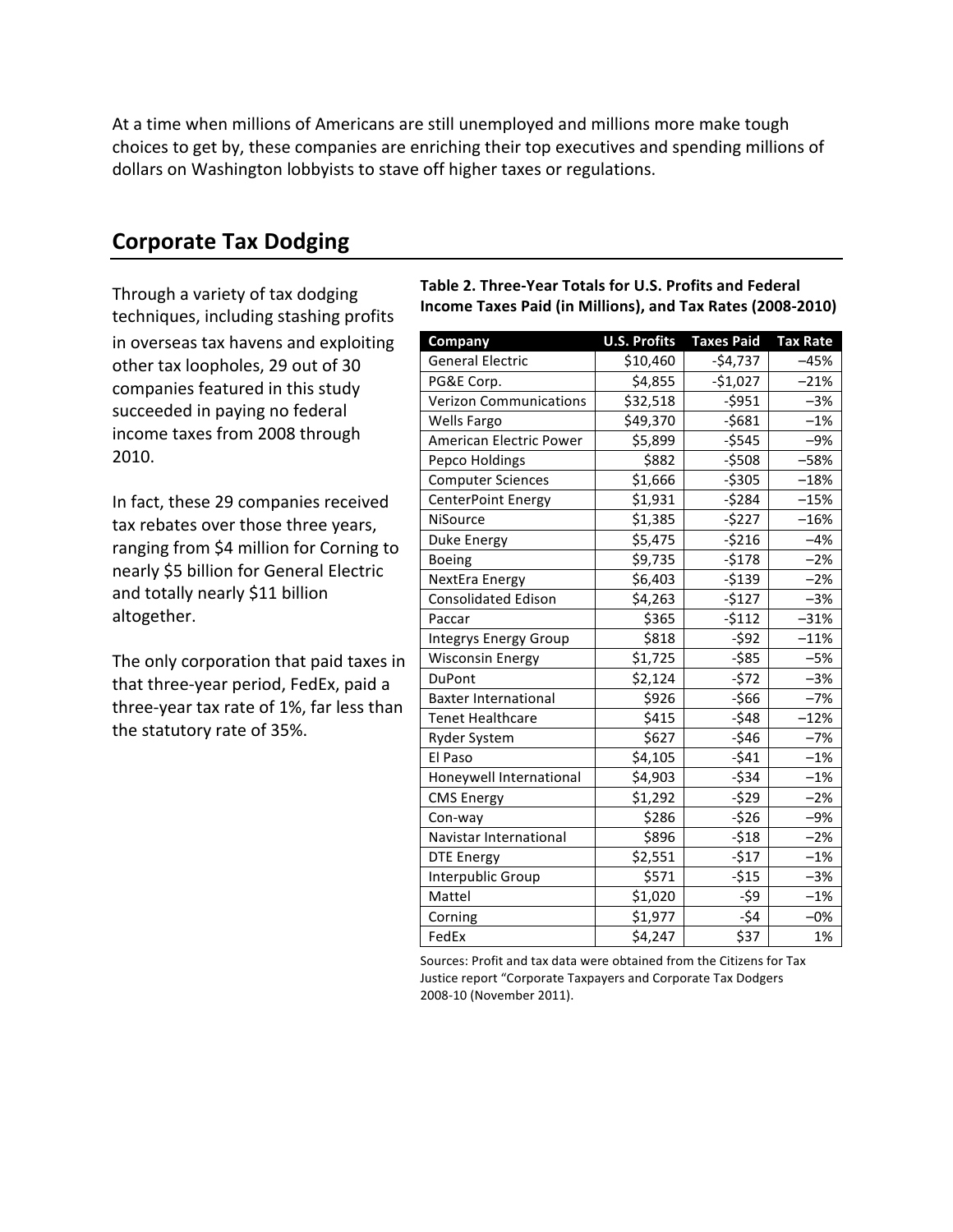At a time when millions of Americans are still unemployed and millions more make tough choices to get by, these companies are enriching their top executives and spending millions of dollars on Washington lobbyists to stave off higher taxes or regulations.

#### **Corporate Tax Dodging**

Through a variety of tax dodging techniques, including stashing profits in overseas tax havens and exploiting other tax loopholes, 29 out of 30 companies featured in this study succeeded in paying no federal income taxes from 2008 through 2010."

In fact, these 29 companies received tax rebates over those three years, ranging from \$4 million for Corning to nearly \$5 billion for General Electric and totally nearly \$11 billion altogether.

The only corporation that paid taxes in that three-year period, FedEx, paid a three-year tax rate of 1%, far less than the statutory rate of 35%.

Table 2. Three-Year Totals for U.S. Profits and Federal **Income Taxes Paid (in Millions), and Tax Rates (2008-2010)** 

| Company                       | <b>U.S. Profits</b> | <b>Taxes Paid</b> | <b>Tax Rate</b> |
|-------------------------------|---------------------|-------------------|-----------------|
| <b>General Electric</b>       | \$10,460            | $-$4,737$         | $-45%$          |
| PG&E Corp.                    | \$4,855             | $-$1,027$         | $-21%$          |
| <b>Verizon Communications</b> | \$32,518            | $-5951$           | $-3%$           |
| Wells Fargo                   | \$49,370            | $-5681$           | $-1%$           |
| American Electric Power       | \$5,899             | $-5545$           | $-9%$           |
| Pepco Holdings                | \$882               | $-5508$           | $-58%$          |
| <b>Computer Sciences</b>      | \$1,666             | $-5305$           | $-18%$          |
| CenterPoint Energy            | \$1,931             | $-5284$           | $-15%$          |
| NiSource                      | \$1,385             | -\$227            | $-16%$          |
| Duke Energy                   | \$5,475             | $-5216$           | $-4%$           |
| Boeing                        | \$9,735             | $-$178$           | $-2%$           |
| NextEra Energy                | \$6,403             | $-5139$           | $-2%$           |
| Consolidated Edison           | \$4,263             | $-5127$           | $-3%$           |
| Paccar                        | \$365               | $-5112$           | $-31%$          |
| <b>Integrys Energy Group</b>  | \$818               | $-592$            | $-11%$          |
| <b>Wisconsin Energy</b>       | \$1,725             | -\$85             | $-5%$           |
| <b>DuPont</b>                 | \$2,124             | $-572$            | $-3%$           |
| <b>Baxter International</b>   | \$926               | $-566$            | $-7%$           |
| <b>Tenet Healthcare</b>       | \$415               | $-548$            | $-12%$          |
| Ryder System                  | \$627               | $-546$            | $-7%$           |
| El Paso                       | \$4,105             | $-541$            | $-1%$           |
| Honeywell International       | \$4,903             | $-534$            | $-1%$           |
| <b>CMS Energy</b>             | \$1,292             | $-529$            | $-2%$           |
| Con-way                       | \$286               | $-526$            | $-9%$           |
| Navistar International        | \$896               | $-518$            | $-2%$           |
| <b>DTE Energy</b>             | \$2,551             | $-517$            | $-1%$           |
| Interpublic Group             | \$571               | $-515$            | $-3%$           |
| Mattel                        | \$1,020             | $-59$             | $-1%$           |
| Corning                       | \$1,977             | $-54$             | $-0%$           |
| FedEx                         | \$4,247             | \$37              | 1%              |

Sources: Profit and tax data were obtained from the Citizens for Tax Justice report "Corporate Taxpayers and Corporate Tax Dodgers" 2008-10 (November 2011).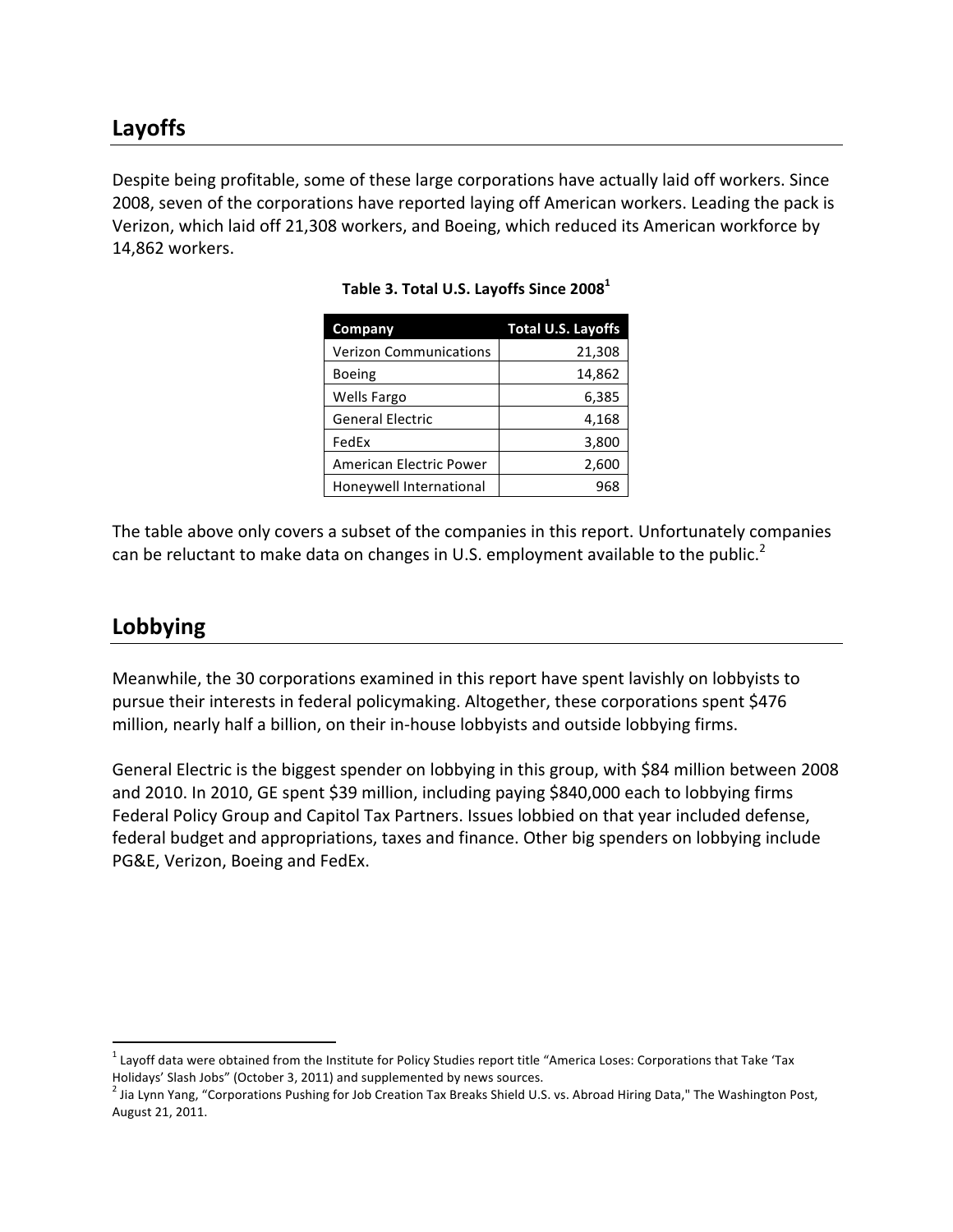Despite being profitable, some of these large corporations have actually laid off workers. Since 2008, seven of the corporations have reported laying off American workers. Leading the pack is Verizon, which laid off 21,308 workers, and Boeing, which reduced its American workforce by 14,862 workers.

| <b>Company</b>                 | <b>Total U.S. Layoffs</b> |
|--------------------------------|---------------------------|
| <b>Verizon Communications</b>  | 21,308                    |
| <b>Boeing</b>                  | 14,862                    |
| <b>Wells Fargo</b>             | 6,385                     |
| <b>General Electric</b>        | 4,168                     |
| FedEx                          | 3,800                     |
| <b>American Electric Power</b> | 2,600                     |
| Honeywell International        | 968                       |

Table 3. Total U.S. Layoffs Since 2008<sup>1</sup>

The table above only covers a subset of the companies in this report. Unfortunately companies can be reluctant to make data on changes in U.S. employment available to the public.<sup>2</sup>

#### **Lobbying**

Meanwhile, the 30 corporations examined in this report have spent lavishly on lobbyists to pursue their interests in federal policymaking. Altogether, these corporations spent \$476 million, nearly half a billion, on their in-house lobbyists and outside lobbying firms.

General Electric is the biggest spender on lobbying in this group, with \$84 million between 2008 and 2010. In 2010, GE spent \$39 million, including paying \$840,000 each to lobbying firms Federal Policy Group and Capitol Tax Partners. Issues lobbied on that year included defense, federal budget and appropriations, taxes and finance. Other big spenders on lobbying include PG&E, Verizon, Boeing and FedEx.

weremontive managemental metally networkshilled and the mand-<br>Thayoff data were obtained from the Institute for Policy Studies report title "America Loses: Corporations that Take 'Tax Holidays' Slash Jobs" (October 3, 2011) and supplemented by news sources.

 $^2$  Jia Lynn Yang, "Corporations Pushing for Job Creation Tax Breaks Shield U.S. vs. Abroad Hiring Data," The Washington Post, August 21, 2011.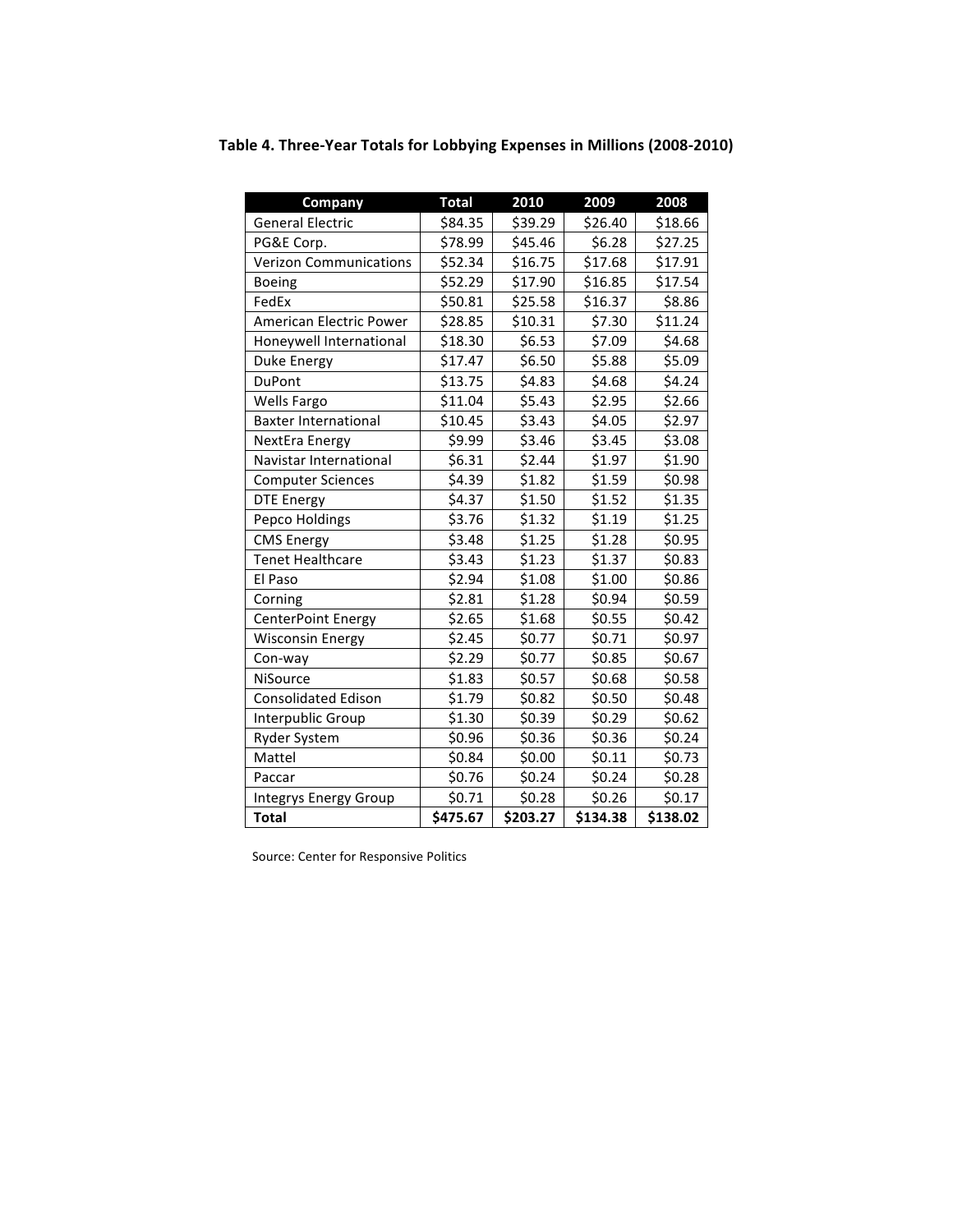| Company                       | <b>Total</b> | 2010     | 2009     | 2008     |
|-------------------------------|--------------|----------|----------|----------|
| <b>General Electric</b>       | \$84.35      | \$39.29  | \$26.40  | \$18.66  |
| PG&E Corp.                    | \$78.99      | \$45.46  | \$6.28   | \$27.25  |
| <b>Verizon Communications</b> | \$52.34      | \$16.75  | \$17.68  | \$17.91  |
| <b>Boeing</b>                 | \$52.29      | \$17.90  | \$16.85  | \$17.54  |
| FedEx                         | \$50.81      | \$25.58  | \$16.37  | \$8.86   |
| American Electric Power       | \$28.85      | \$10.31  | \$7.30   | \$11.24  |
| Honeywell International       | \$18.30      | \$6.53   | \$7.09   | \$4.68   |
| Duke Energy                   | \$17.47      | \$6.50   | \$5.88   | \$5.09   |
| <b>DuPont</b>                 | \$13.75      | \$4.83   | \$4.68   | \$4.24   |
| <b>Wells Fargo</b>            | \$11.04      | \$5.43   | \$2.95   | \$2.66   |
| <b>Baxter International</b>   | \$10.45      | \$3.43   | \$4.05   | \$2.97   |
| NextEra Energy                | \$9.99       | \$3.46   | \$3.45   | \$3.08   |
| Navistar International        | \$6.31       | \$2.44   | \$1.97   | \$1.90   |
| <b>Computer Sciences</b>      | \$4.39       | \$1.82   | \$1.59   | \$0.98   |
| <b>DTE Energy</b>             | \$4.37       | \$1.50   | \$1.52   | \$1.35   |
| Pepco Holdings                | \$3.76       | \$1.32   | \$1.19   | \$1.25   |
| <b>CMS Energy</b>             | \$3.48       | \$1.25   | \$1.28   | \$0.95   |
| <b>Tenet Healthcare</b>       | \$3.43       | \$1.23   | \$1.37   | \$0.83   |
| El Paso                       | \$2.94       | \$1.08   | \$1.00   | \$0.86   |
| Corning                       | \$2.81       | \$1.28   | \$0.94   | \$0.59   |
| CenterPoint Energy            | \$2.65       | \$1.68   | \$0.55   | \$0.42   |
| <b>Wisconsin Energy</b>       | \$2.45       | \$0.77   | \$0.71   | \$0.97   |
| Con-way                       | \$2.29       | \$0.77   | \$0.85   | \$0.67   |
| NiSource                      | \$1.83       | \$0.57   | \$0.68   | \$0.58   |
| <b>Consolidated Edison</b>    | \$1.79       | \$0.82   | \$0.50   | \$0.48   |
| Interpublic Group             | \$1.30       | \$0.39   | \$0.29   | \$0.62   |
| <b>Ryder System</b>           | \$0.96       | \$0.36   | \$0.36   | \$0.24   |
| Mattel                        | \$0.84       | \$0.00   | \$0.11   | \$0.73   |
| Paccar                        | \$0.76       | \$0.24   | \$0.24   | \$0.28   |
| Integrys Energy Group         | \$0.71       | \$0.28   | \$0.26   | \$0.17   |
| <b>Total</b>                  | \$475.67     | \$203.27 | \$134.38 | \$138.02 |

Table 4. Three-Year Totals for Lobbying Expenses in Millions (2008-2010)

Source: Center for Responsive Politics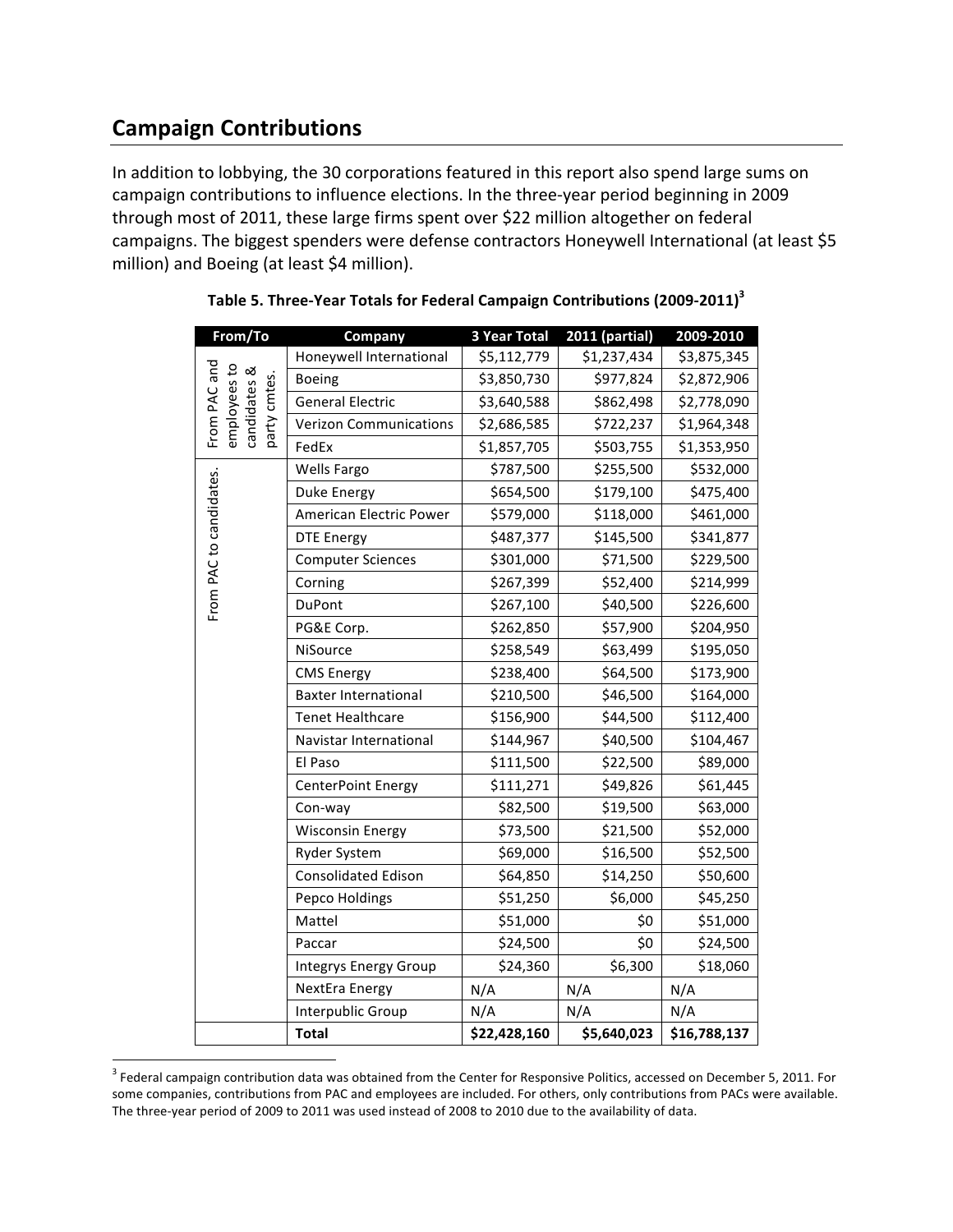## **Campaign!Contributions**

In addition to lobbying, the 30 corporations featured in this report also spend large sums on campaign contributions to influence elections. In the three-year period beginning in 2009 through most of 2011, these large firms spent over \$22 million altogether on federal campaigns. The biggest spenders were defense contractors Honeywell International (at least \$5 million) and Boeing (at least \$4 million).

| From/To                                                      | Company                       | 3 Year Total | 2011 (partial) | 2009-2010    |
|--------------------------------------------------------------|-------------------------------|--------------|----------------|--------------|
|                                                              | Honeywell International       | \$5,112,779  | \$1,237,434    | \$3,875,345  |
|                                                              | Boeing                        | \$3,850,730  | \$977,824      | \$2,872,906  |
|                                                              | <b>General Electric</b>       | \$3,640,588  | \$862,498      | \$2,778,090  |
| From PAC and<br>employees to<br>candidates &<br>party cmtes. | <b>Verizon Communications</b> | \$2,686,585  | \$722,237      | \$1,964,348  |
|                                                              | FedEx                         | \$1,857,705  | \$503,755      | \$1,353,950  |
|                                                              | Wells Fargo                   | \$787,500    | \$255,500      | \$532,000    |
|                                                              | Duke Energy                   | \$654,500    | \$179,100      | \$475,400    |
|                                                              | American Electric Power       | \$579,000    | \$118,000      | \$461,000    |
| From PAC to candidates.                                      | <b>DTE Energy</b>             | \$487,377    | \$145,500      | \$341,877    |
|                                                              | <b>Computer Sciences</b>      | \$301,000    | \$71,500       | \$229,500    |
|                                                              | Corning                       | \$267,399    | \$52,400       | \$214,999    |
|                                                              | DuPont                        | \$267,100    | \$40,500       | \$226,600    |
|                                                              | PG&E Corp.                    | \$262,850    | \$57,900       | \$204,950    |
|                                                              | NiSource                      | \$258,549    | \$63,499       | \$195,050    |
|                                                              | <b>CMS Energy</b>             | \$238,400    | \$64,500       | \$173,900    |
|                                                              | <b>Baxter International</b>   | \$210,500    | \$46,500       | \$164,000    |
|                                                              | <b>Tenet Healthcare</b>       | \$156,900    | \$44,500       | \$112,400    |
|                                                              | Navistar International        | \$144,967    | \$40,500       | \$104,467    |
|                                                              | El Paso                       | \$111,500    | \$22,500       | \$89,000     |
|                                                              | CenterPoint Energy            | \$111,271    | \$49,826       | \$61,445     |
|                                                              | Con-way                       | \$82,500     | \$19,500       | \$63,000     |
|                                                              | <b>Wisconsin Energy</b>       | \$73,500     | \$21,500       | \$52,000     |
|                                                              | <b>Ryder System</b>           | \$69,000     | \$16,500       | \$52,500     |
|                                                              | <b>Consolidated Edison</b>    | \$64,850     | \$14,250       | \$50,600     |
|                                                              | Pepco Holdings                | \$51,250     | \$6,000        | \$45,250     |
|                                                              | Mattel                        | \$51,000     | \$0            | \$51,000     |
|                                                              | Paccar                        | \$24,500     | \$0            | \$24,500     |
|                                                              | Integrys Energy Group         | \$24,360     | \$6,300        | \$18,060     |
|                                                              | NextEra Energy                | N/A          | N/A            | N/A          |
|                                                              | Interpublic Group             | N/A          | N/A            | N/A          |
|                                                              | <b>Total</b>                  | \$22,428,160 | \$5,640,023    | \$16,788,137 |

| Table 5. Three-Year Totals for Federal Campaign Contributions (2009-2011) <sup>3</sup> |  |  |
|----------------------------------------------------------------------------------------|--|--|
|----------------------------------------------------------------------------------------|--|--|

<sup>&</sup>quot;<br><sup>3</sup> Federal campaign contribution data was obtained from the Center for Responsive Politics, accessed on December 5, 2011. For some companies, contributions from PAC and employees are included. For others, only contributions from PACs were available. The three-year period of 2009 to 2011 was used instead of 2008 to 2010 due to the availability of data.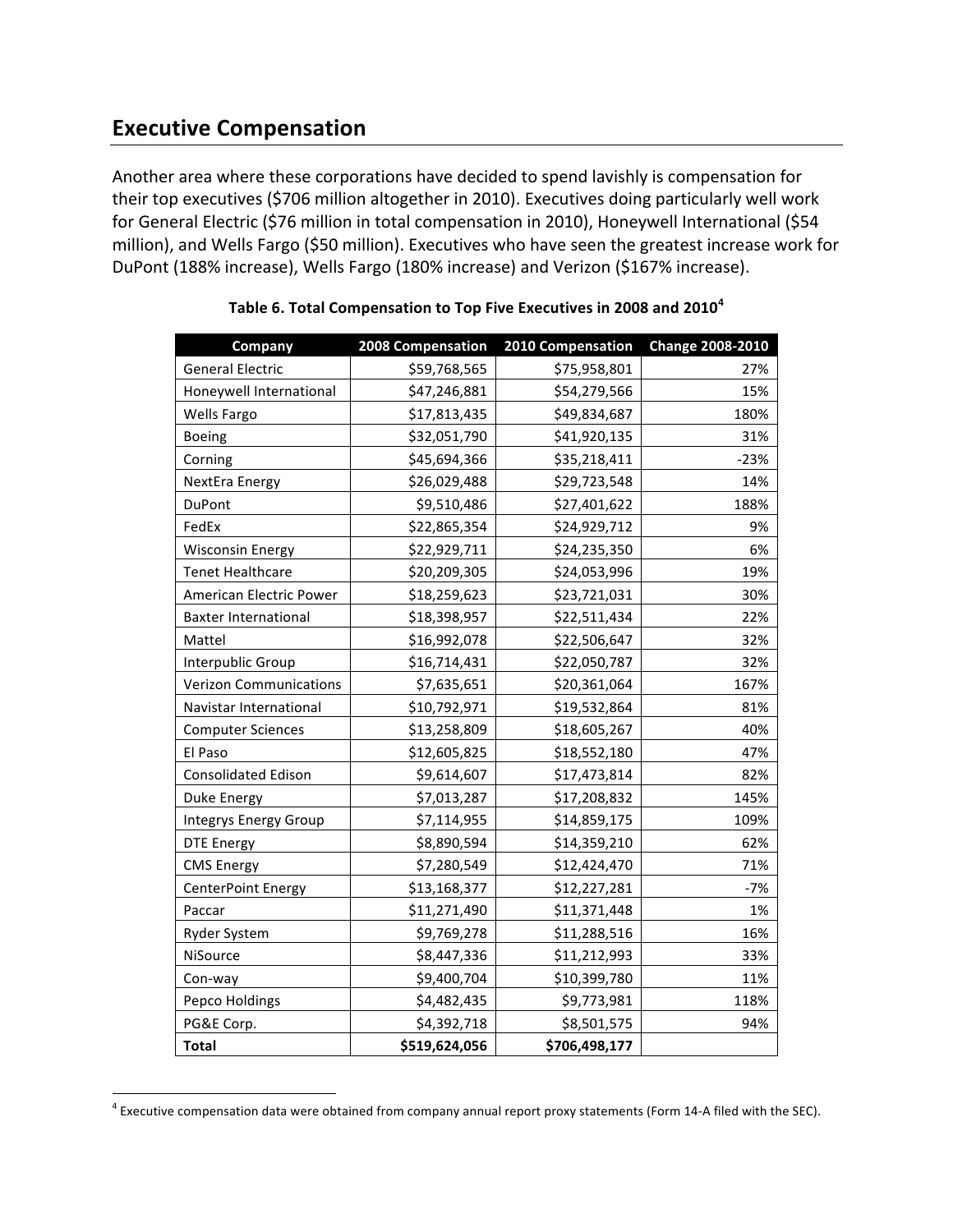### **Executive Compensation**

Another area where these corporations have decided to spend lavishly is compensation for their top executives (\$706 million altogether in 2010). Executives doing particularly well work for General Electric (\$76 million in total compensation in 2010), Honeywell International (\$54 million), and Wells Fargo (\$50 million). Executives who have seen the greatest increase work for DuPont (188% increase), Wells Fargo (180% increase) and Verizon (\$167% increase).

| Company                       | 2008 Compensation | 2010 Compensation | <b>Change 2008-2010</b> |
|-------------------------------|-------------------|-------------------|-------------------------|
| <b>General Electric</b>       | \$59,768,565      | \$75,958,801      | 27%                     |
| Honeywell International       | \$47,246,881      | \$54,279,566      | 15%                     |
| Wells Fargo                   | \$17,813,435      | \$49,834,687      | 180%                    |
| <b>Boeing</b>                 | \$32,051,790      | \$41,920,135      | 31%                     |
| Corning                       | \$45,694,366      | \$35,218,411      | $-23%$                  |
| NextEra Energy                | \$26,029,488      | \$29,723,548      | 14%                     |
| DuPont                        | \$9,510,486       | \$27,401,622      | 188%                    |
| FedEx                         | \$22,865,354      | \$24,929,712      | 9%                      |
| <b>Wisconsin Energy</b>       | \$22,929,711      | \$24,235,350      | 6%                      |
| <b>Tenet Healthcare</b>       | \$20,209,305      | \$24,053,996      | 19%                     |
| American Electric Power       | \$18,259,623      | \$23,721,031      | 30%                     |
| <b>Baxter International</b>   | \$18,398,957      | \$22,511,434      | 22%                     |
| Mattel                        | \$16,992,078      | \$22,506,647      | 32%                     |
| Interpublic Group             | \$16,714,431      | \$22,050,787      | 32%                     |
| <b>Verizon Communications</b> | \$7,635,651       | \$20,361,064      | 167%                    |
| Navistar International        | \$10,792,971      | \$19,532,864      | 81%                     |
| <b>Computer Sciences</b>      | \$13,258,809      | \$18,605,267      | 40%                     |
| El Paso                       | \$12,605,825      | \$18,552,180      | 47%                     |
| <b>Consolidated Edison</b>    | \$9,614,607       | \$17,473,814      | 82%                     |
| <b>Duke Energy</b>            | \$7,013,287       | \$17,208,832      | 145%                    |
| <b>Integrys Energy Group</b>  | \$7,114,955       | \$14,859,175      | 109%                    |
| <b>DTE Energy</b>             | \$8,890,594       | \$14,359,210      | 62%                     |
| <b>CMS Energy</b>             | \$7,280,549       | \$12,424,470      | 71%                     |
| CenterPoint Energy            | \$13,168,377      | \$12,227,281      | $-7%$                   |
| Paccar                        | \$11,271,490      | \$11,371,448      | 1%                      |
| Ryder System                  | \$9,769,278       | \$11,288,516      | 16%                     |
| NiSource                      | \$8,447,336       | \$11,212,993      | 33%                     |
| Con-way                       | \$9,400,704       | \$10,399,780      | 11%                     |
| Pepco Holdings                | \$4,482,435       | \$9,773,981       | 118%                    |
| PG&E Corp.                    | \$4,392,718       | \$8,501,575       | 94%                     |
| <b>Total</b>                  | \$519,624,056     | \$706,498,177     |                         |

Table 6. Total Compensation to Top Five Executives in 2008 and 2010<sup>4</sup>

weretive tompensation data were obtained from company annual report proxy statements (Form 14-A filed with the SEC).<br><sup>4</sup> Executive compensation data were obtained from company annual report proxy statements (Form 14-A file